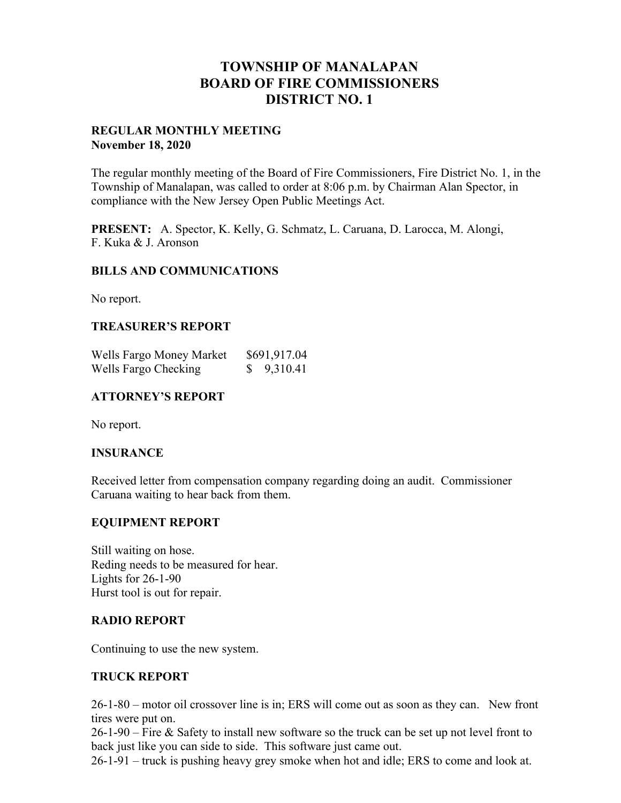## **TOWNSHIP OF MANALAPAN BOARD OF FIRE COMMISSIONERS DISTRICT NO. 1**

#### **REGULAR MONTHLY MEETING November 18, 2020**

The regular monthly meeting of the Board of Fire Commissioners, Fire District No. 1, in the Township of Manalapan, was called to order at 8:06 p.m. by Chairman Alan Spector, in compliance with the New Jersey Open Public Meetings Act.

**PRESENT:** A. Spector, K. Kelly, G. Schmatz, L. Caruana, D. Larocca, M. Alongi, F. Kuka & J. Aronson

#### **BILLS AND COMMUNICATIONS**

No report.

#### **TREASURER'S REPORT**

| Wells Fargo Money Market | \$691,917.04 |
|--------------------------|--------------|
| Wells Fargo Checking     | 9,310.41     |

## **ATTORNEY'S REPORT**

No report.

#### **INSURANCE**

Received letter from compensation company regarding doing an audit. Commissioner Caruana waiting to hear back from them.

## **EQUIPMENT REPORT**

Still waiting on hose. Reding needs to be measured for hear. Lights for 26-1-90 Hurst tool is out for repair.

#### **RADIO REPORT**

Continuing to use the new system.

## **TRUCK REPORT**

26-1-80 – motor oil crossover line is in; ERS will come out as soon as they can. New front tires were put on.

26-1-90 – Fire & Safety to install new software so the truck can be set up not level front to back just like you can side to side. This software just came out.

26-1-91 – truck is pushing heavy grey smoke when hot and idle; ERS to come and look at.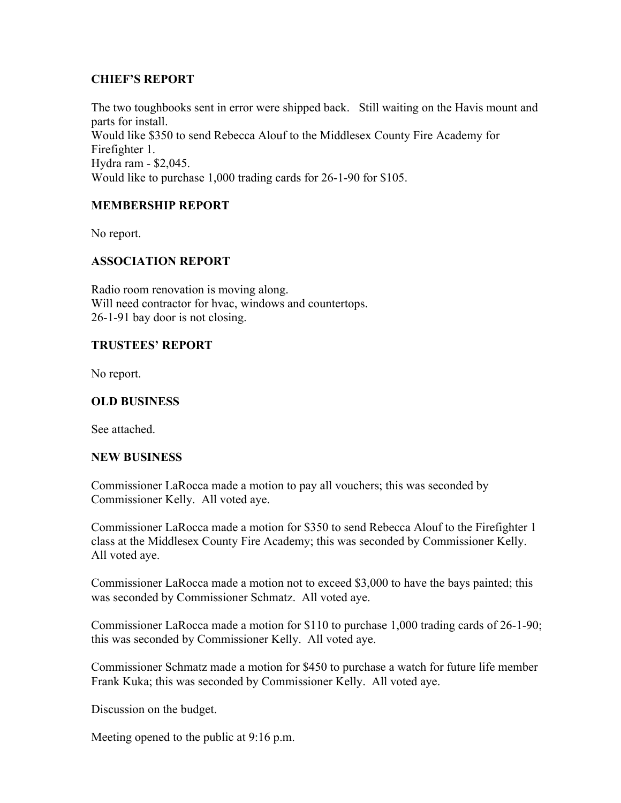### **CHIEF'S REPORT**

The two toughbooks sent in error were shipped back. Still waiting on the Havis mount and parts for install. Would like \$350 to send Rebecca Alouf to the Middlesex County Fire Academy for Firefighter 1. Hydra ram - \$2,045. Would like to purchase 1,000 trading cards for 26-1-90 for \$105.

## **MEMBERSHIP REPORT**

No report.

## **ASSOCIATION REPORT**

Radio room renovation is moving along. Will need contractor for hvac, windows and countertops. 26-1-91 bay door is not closing.

## **TRUSTEES' REPORT**

No report.

### **OLD BUSINESS**

See attached.

#### **NEW BUSINESS**

Commissioner LaRocca made a motion to pay all vouchers; this was seconded by Commissioner Kelly. All voted aye.

Commissioner LaRocca made a motion for \$350 to send Rebecca Alouf to the Firefighter 1 class at the Middlesex County Fire Academy; this was seconded by Commissioner Kelly. All voted aye.

Commissioner LaRocca made a motion not to exceed \$3,000 to have the bays painted; this was seconded by Commissioner Schmatz. All voted aye.

Commissioner LaRocca made a motion for \$110 to purchase 1,000 trading cards of 26-1-90; this was seconded by Commissioner Kelly. All voted aye.

Commissioner Schmatz made a motion for \$450 to purchase a watch for future life member Frank Kuka; this was seconded by Commissioner Kelly. All voted aye.

Discussion on the budget.

Meeting opened to the public at 9:16 p.m.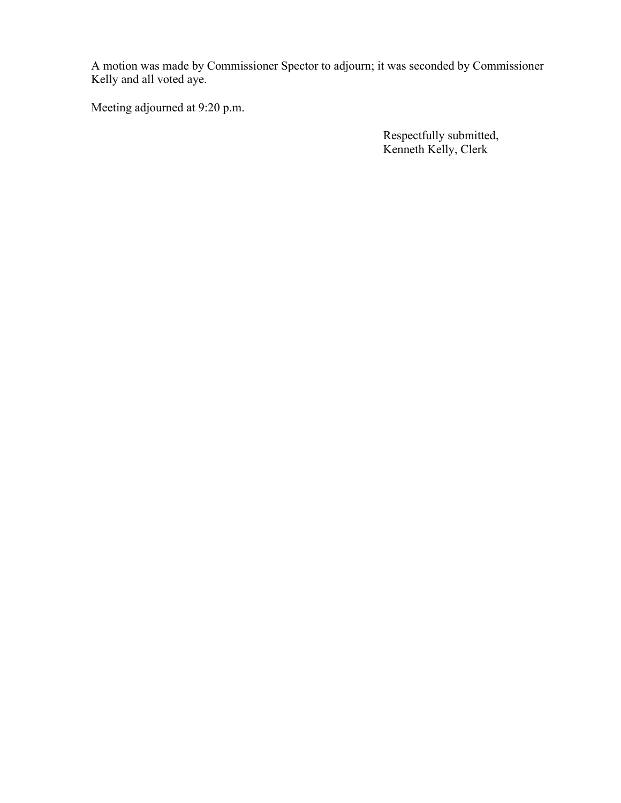A motion was made by Commissioner Spector to adjourn; it was seconded by Commissioner Kelly and all voted aye.

Meeting adjourned at 9:20 p.m.

 Respectfully submitted, Kenneth Kelly, Clerk